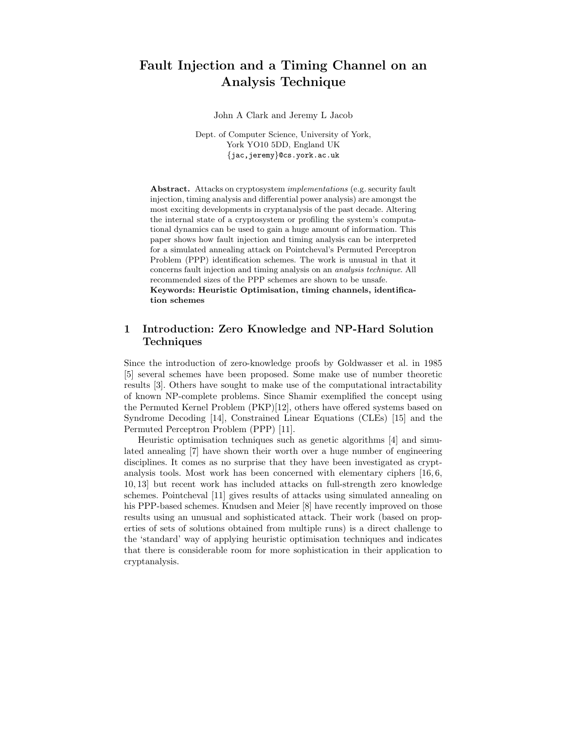# Fault Injection and a Timing Channel on an Analysis Technique

John A Clark and Jeremy L Jacob

Dept. of Computer Science, University of York, York YO10 5DD, England UK {jac,jeremy}@cs.york.ac.uk

Abstract. Attacks on cryptosystem implementations (e.g. security fault injection, timing analysis and differential power analysis) are amongst the most exciting developments in cryptanalysis of the past decade. Altering the internal state of a cryptosystem or profiling the system's computational dynamics can be used to gain a huge amount of information. This paper shows how fault injection and timing analysis can be interpreted for a simulated annealing attack on Pointcheval's Permuted Perceptron Problem (PPP) identification schemes. The work is unusual in that it concerns fault injection and timing analysis on an analysis technique. All recommended sizes of the PPP schemes are shown to be unsafe. Keywords: Heuristic Optimisation, timing channels, identification schemes

# 1 Introduction: Zero Knowledge and NP-Hard Solution Techniques

Since the introduction of zero-knowledge proofs by Goldwasser et al. in 1985 [5] several schemes have been proposed. Some make use of number theoretic results [3]. Others have sought to make use of the computational intractability of known NP-complete problems. Since Shamir exemplified the concept using the Permuted Kernel Problem (PKP)[12], others have offered systems based on Syndrome Decoding [14], Constrained Linear Equations (CLEs) [15] and the Permuted Perceptron Problem (PPP) [11].

Heuristic optimisation techniques such as genetic algorithms [4] and simulated annealing [7] have shown their worth over a huge number of engineering disciplines. It comes as no surprise that they have been investigated as cryptanalysis tools. Most work has been concerned with elementary ciphers [16, 6, 10, 13] but recent work has included attacks on full-strength zero knowledge schemes. Pointcheval [11] gives results of attacks using simulated annealing on his PPP-based schemes. Knudsen and Meier [8] have recently improved on those results using an unusual and sophisticated attack. Their work (based on properties of sets of solutions obtained from multiple runs) is a direct challenge to the 'standard' way of applying heuristic optimisation techniques and indicates that there is considerable room for more sophistication in their application to cryptanalysis.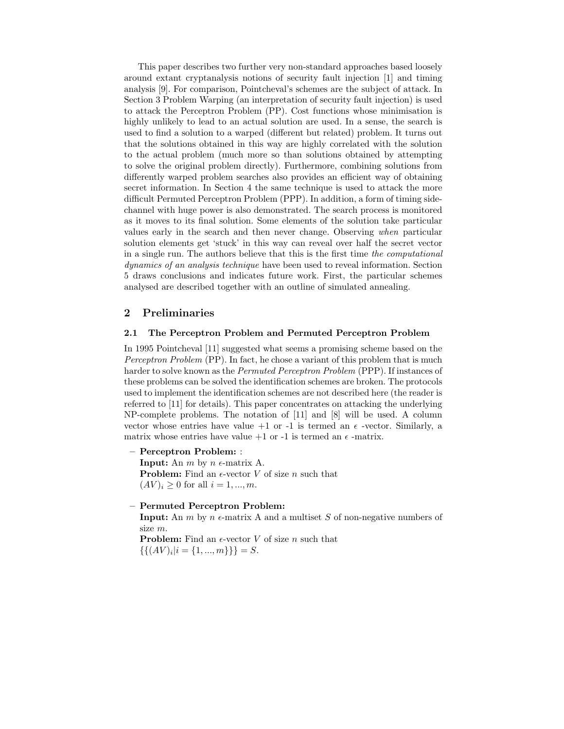This paper describes two further very non-standard approaches based loosely around extant cryptanalysis notions of security fault injection [1] and timing analysis [9]. For comparison, Pointcheval's schemes are the subject of attack. In Section 3 Problem Warping (an interpretation of security fault injection) is used to attack the Perceptron Problem (PP). Cost functions whose minimisation is highly unlikely to lead to an actual solution are used. In a sense, the search is used to find a solution to a warped (different but related) problem. It turns out that the solutions obtained in this way are highly correlated with the solution to the actual problem (much more so than solutions obtained by attempting to solve the original problem directly). Furthermore, combining solutions from differently warped problem searches also provides an efficient way of obtaining secret information. In Section 4 the same technique is used to attack the more difficult Permuted Perceptron Problem (PPP). In addition, a form of timing sidechannel with huge power is also demonstrated. The search process is monitored as it moves to its final solution. Some elements of the solution take particular values early in the search and then never change. Observing when particular solution elements get 'stuck' in this way can reveal over half the secret vector in a single run. The authors believe that this is the first time the computational dynamics of an analysis technique have been used to reveal information. Section 5 draws conclusions and indicates future work. First, the particular schemes analysed are described together with an outline of simulated annealing.

# 2 Preliminaries

### 2.1 The Perceptron Problem and Permuted Perceptron Problem

In 1995 Pointcheval [11] suggested what seems a promising scheme based on the Perceptron Problem (PP). In fact, he chose a variant of this problem that is much harder to solve known as the *Permuted Perceptron Problem* (PPP). If instances of these problems can be solved the identification schemes are broken. The protocols used to implement the identification schemes are not described here (the reader is referred to [11] for details). This paper concentrates on attacking the underlying NP-complete problems. The notation of [11] and [8] will be used. A column vector whose entries have value  $+1$  or  $-1$  is termed an  $\epsilon$  -vector. Similarly, a matrix whose entries have value  $+1$  or  $-1$  is termed an  $\epsilon$  -matrix.

– Perceptron Problem: :

**Input:** An  $m$  by  $n \in$ -matrix A. **Problem:** Find an  $\epsilon$ -vector V of size n such that  $(AV)_i \geq 0$  for all  $i = 1, ..., m$ .

#### – Permuted Perceptron Problem:

**Input:** An m by n  $\epsilon$ -matrix A and a multiset S of non-negative numbers of size m.

**Problem:** Find an  $\epsilon$ -vector V of size n such that  $\{\{(AV)_i|i = \{1, ..., m\}\}\}=S.$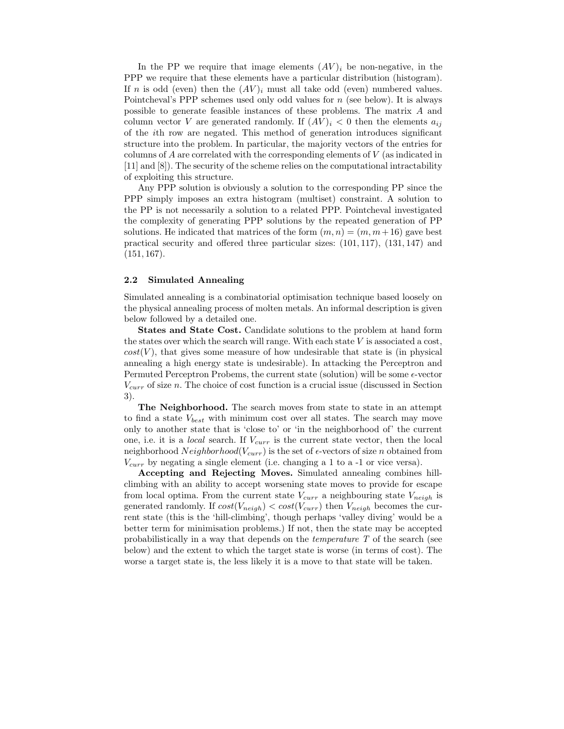In the PP we require that image elements  $(AV)_i$  be non-negative, in the PPP we require that these elements have a particular distribution (histogram). If n is odd (even) then the  $(AV)_i$  must all take odd (even) numbered values. Pointcheval's PPP schemes used only odd values for  $n$  (see below). It is always possible to generate feasible instances of these problems. The matrix A and column vector V are generated randomly. If  $(AV)_i < 0$  then the elements  $a_{ij}$ of the ith row are negated. This method of generation introduces significant structure into the problem. In particular, the majority vectors of the entries for columns of A are correlated with the corresponding elements of V (as indicated in [11] and [8]). The security of the scheme relies on the computational intractability of exploiting this structure.

Any PPP solution is obviously a solution to the corresponding PP since the PPP simply imposes an extra histogram (multiset) constraint. A solution to the PP is not necessarily a solution to a related PPP. Pointcheval investigated the complexity of generating PPP solutions by the repeated generation of PP solutions. He indicated that matrices of the form  $(m, n) = (m, m+16)$  gave best practical security and offered three particular sizes: (101, 117), (131, 147) and  $(151, 167)$ .

#### 2.2 Simulated Annealing

Simulated annealing is a combinatorial optimisation technique based loosely on the physical annealing process of molten metals. An informal description is given below followed by a detailed one.

States and State Cost. Candidate solutions to the problem at hand form the states over which the search will range. With each state  $V$  is associated a cost,  $cost(V)$ , that gives some measure of how undesirable that state is (in physical annealing a high energy state is undesirable). In attacking the Perceptron and Permuted Perceptron Probems, the current state (solution) will be some  $\epsilon$ -vector  $V_{curr}$  of size n. The choice of cost function is a crucial issue (discussed in Section 3).

The Neighborhood. The search moves from state to state in an attempt to find a state  $V_{best}$  with minimum cost over all states. The search may move only to another state that is 'close to' or 'in the neighborhood of' the current one, i.e. it is a *local* search. If  $V_{curr}$  is the current state vector, then the local neighborhood  $Neighbourhood(V_{curr})$  is the set of  $\epsilon$ -vectors of size n obtained from  $V_{curr}$  by negating a single element (i.e. changing a 1 to a -1 or vice versa).

Accepting and Rejecting Moves. Simulated annealing combines hillclimbing with an ability to accept worsening state moves to provide for escape from local optima. From the current state  $V_{curr}$  a neighbouring state  $V_{neigh}$  is generated randomly. If  $cost(V_{neigh}) < cost(V_{curr})$  then  $V_{neigh}$  becomes the current state (this is the 'hill-climbing', though perhaps 'valley diving' would be a better term for minimisation problems.) If not, then the state may be accepted probabilistically in a way that depends on the temperature T of the search (see below) and the extent to which the target state is worse (in terms of cost). The worse a target state is, the less likely it is a move to that state will be taken.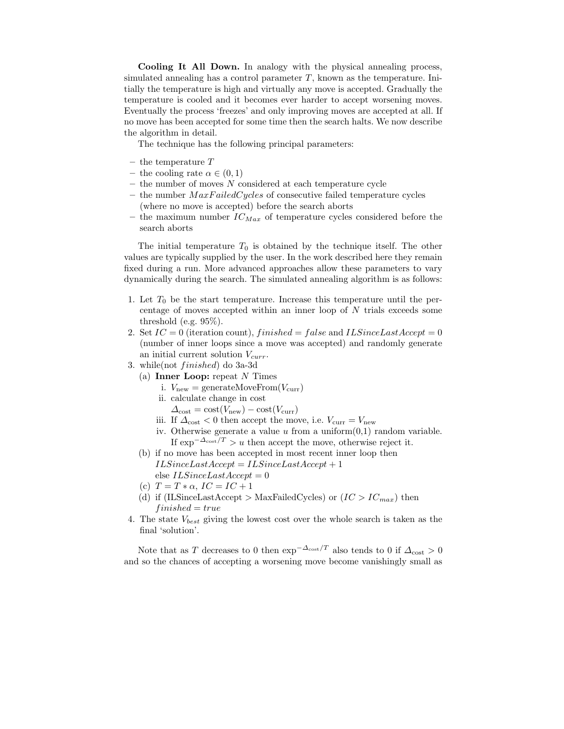Cooling It All Down. In analogy with the physical annealing process, simulated annealing has a control parameter  $T$ , known as the temperature. Initially the temperature is high and virtually any move is accepted. Gradually the temperature is cooled and it becomes ever harder to accept worsening moves. Eventually the process 'freezes' and only improving moves are accepted at all. If no move has been accepted for some time then the search halts. We now describe the algorithm in detail.

The technique has the following principal parameters:

- the temperature  $T$
- the cooling rate  $\alpha \in (0,1)$
- $-$  the number of moves N considered at each temperature cycle
- the number  $MaxFailedCycles$  of consecutive failed temperature cycles (where no move is accepted) before the search aborts
- the maximum number  $IC_{Max}$  of temperature cycles considered before the search aborts

The initial temperature  $T_0$  is obtained by the technique itself. The other values are typically supplied by the user. In the work described here they remain fixed during a run. More advanced approaches allow these parameters to vary dynamically during the search. The simulated annealing algorithm is as follows:

- 1. Let  $T_0$  be the start temperature. Increase this temperature until the percentage of moves accepted within an inner loop of N trials exceeds some threshold (e.g. 95%).
- 2. Set  $IC = 0$  (iteration count), finished = false and ILSinceLastAccept = 0 (number of inner loops since a move was accepted) and randomly generate an initial current solution  $V_{curr}$ .
- 3. while(not finished) do 3a-3d
	- (a) Inner Loop: repeat  $N$  Times
		- i.  $V_{\text{new}} = \text{generateMoveFrom}(V_{\text{curr}})$
		- ii. calculate change in cost
			- $\Delta_{\text{cost}} = \text{cost}(V_{\text{new}}) \text{cost}(V_{\text{curr}})$
		- iii. If  $\Delta_{\rm cost} < 0$  then accept the move, i.e.  $V_{\rm curr} = V_{\rm new}$
		- iv. Otherwise generate a value  $u$  from a uniform $(0,1)$  random variable. If  $\exp^{-\Delta_{\text{cost}}/T} > u$  then accept the move, otherwise reject it.
	- (b) if no move has been accepted in most recent inner loop then  $ILSince LastAccept = ILSinceLastAccept + 1$ else  $ILSinceLastAccept = 0$
	- (c)  $T = T * \alpha$ ,  $IC = IC + 1$
	- (d) if (ILSinceLastAccept > MaxFailedCycles) or  $(IC > IC_{max})$  then  $fini<sub>shed</sub> = true$
- 4. The state  $V_{best}$  giving the lowest cost over the whole search is taken as the final 'solution'.

Note that as T decreases to 0 then  $\exp^{-\Delta_{\text{cost}}/T}$  also tends to 0 if  $\Delta_{\text{cost}} > 0$ and so the chances of accepting a worsening move become vanishingly small as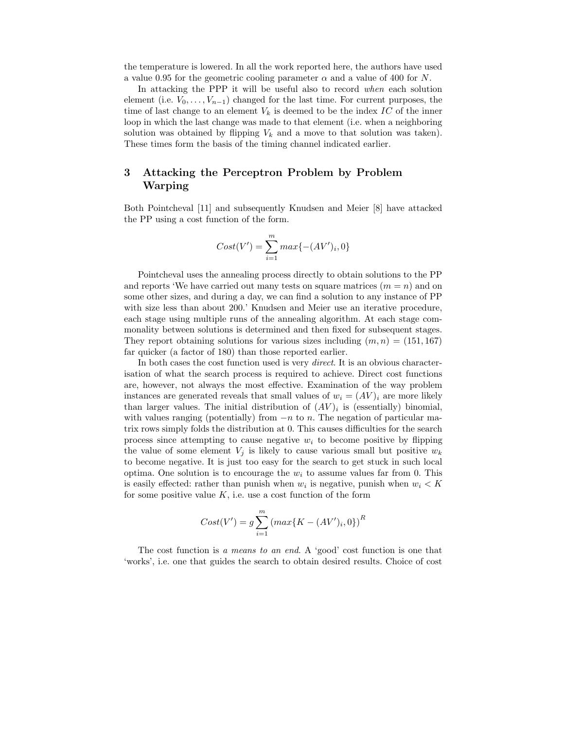the temperature is lowered. In all the work reported here, the authors have used a value 0.95 for the geometric cooling parameter  $\alpha$  and a value of 400 for N.

In attacking the PPP it will be useful also to record when each solution element (i.e.  $V_0, \ldots, V_{n-1}$ ) changed for the last time. For current purposes, the time of last change to an element  $V_k$  is deemed to be the index  $IC$  of the inner loop in which the last change was made to that element (i.e. when a neighboring solution was obtained by flipping  $V_k$  and a move to that solution was taken). These times form the basis of the timing channel indicated earlier.

# 3 Attacking the Perceptron Problem by Problem Warping

Both Pointcheval [11] and subsequently Knudsen and Meier [8] have attacked the PP using a cost function of the form.

$$
Cost(V') = \sum_{i=1}^{m} max\{-(AV')_i, 0\}
$$

Pointcheval uses the annealing process directly to obtain solutions to the PP and reports 'We have carried out many tests on square matrices  $(m = n)$  and on some other sizes, and during a day, we can find a solution to any instance of PP with size less than about 200.' Knudsen and Meier use an iterative procedure, each stage using multiple runs of the annealing algorithm. At each stage commonality between solutions is determined and then fixed for subsequent stages. They report obtaining solutions for various sizes including  $(m, n) = (151, 167)$ far quicker (a factor of 180) than those reported earlier.

In both cases the cost function used is very *direct*. It is an obvious characterisation of what the search process is required to achieve. Direct cost functions are, however, not always the most effective. Examination of the way problem instances are generated reveals that small values of  $w_i = (AV)_i$  are more likely than larger values. The initial distribution of  $(AV)_i$  is (essentially) binomial, with values ranging (potentially) from  $-n$  to n. The negation of particular matrix rows simply folds the distribution at 0. This causes difficulties for the search process since attempting to cause negative  $w_i$  to become positive by flipping the value of some element  $V_i$  is likely to cause various small but positive  $w_k$ to become negative. It is just too easy for the search to get stuck in such local optima. One solution is to encourage the  $w_i$  to assume values far from 0. This is easily effected: rather than punish when  $w_i$  is negative, punish when  $w_i < K$ for some positive value  $K$ , i.e. use a cost function of the form

$$
Cost(V') = g \sum_{i=1}^{m} (max\{K - (AV')_i, 0\})^R
$$

The cost function is a means to an end. A 'good' cost function is one that 'works', i.e. one that guides the search to obtain desired results. Choice of cost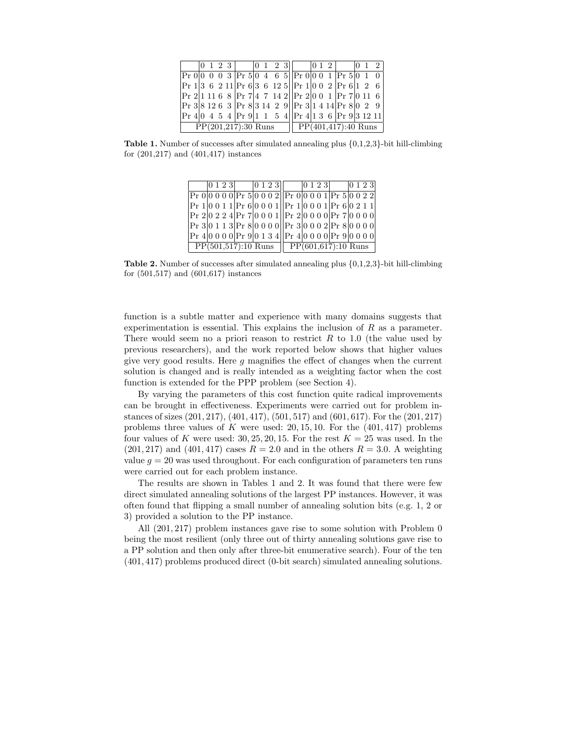| $\Pr 1 36211$ $\Pr 6 36125$ $\Pr 1 002$ $\Pr 6 126$           |  |  |  |  |  |  |  |  |  |  |
|---------------------------------------------------------------|--|--|--|--|--|--|--|--|--|--|
| $\Pr 2 11168$ $\Pr 7 47142 $ $\Pr 2 001$ $\Pr 7 0116$         |  |  |  |  |  |  |  |  |  |  |
| $\Pr 3 81263 \Pr 8 31429 \Pr 3 1414 \Pr 8 029$                |  |  |  |  |  |  |  |  |  |  |
| $\Pr 4 0 4 5 4   \Pr 9 1 1 5 4   \Pr 4 1 3 6   \Pr 9 3 12 11$ |  |  |  |  |  |  |  |  |  |  |
| $PP(201,217):30$ Runs $PP(401,417):40$ Runs                   |  |  |  |  |  |  |  |  |  |  |

**Table 1.** Number of successes after simulated annealing plus  $\{0,1,2,3\}$ -bit hill-climbing for (201,217) and (401,417) instances

| 0 1 2 3                                        |  |  |  | $ 0123 $ $ 0123 $ $ 0123 $        |  |  |
|------------------------------------------------|--|--|--|-----------------------------------|--|--|
| Pr 000000Pr 50002Pr 00001Pr 50022              |  |  |  |                                   |  |  |
| Pr 10011 Pr 60001   Pr 10001 Pr 60211          |  |  |  |                                   |  |  |
| $Pr 20224 Pr 70001$ $Pr 20000 Pr 70000$        |  |  |  |                                   |  |  |
| Pr 30113 Pr 80000   Pr 30002 Pr 80000          |  |  |  |                                   |  |  |
| $Pr 40000$ Pr 90 1 3 4 Pr 40 0 0 0 Pr 90 0 0 0 |  |  |  |                                   |  |  |
| $PP(501,517):10$ Runs                          |  |  |  | $\overline{PP(601,617)}$ :10 Runs |  |  |

Table 2. Number of successes after simulated annealing plus {0,1,2,3}-bit hill-climbing for (501,517) and (601,617) instances

function is a subtle matter and experience with many domains suggests that experimentation is essential. This explains the inclusion of  $R$  as a parameter. There would seem no a priori reason to restrict  $R$  to 1.0 (the value used by previous researchers), and the work reported below shows that higher values give very good results. Here  $g$  magnifies the effect of changes when the current solution is changed and is really intended as a weighting factor when the cost function is extended for the PPP problem (see Section 4).

By varying the parameters of this cost function quite radical improvements can be brought in effectiveness. Experiments were carried out for problem instances of sizes (201, 217), (401, 417), (501, 517) and (601, 617). For the (201, 217) problems three values of K were used:  $20, 15, 10$ . For the  $(401, 417)$  problems four values of K were used: 30, 25, 20, 15. For the rest  $K = 25$  was used. In the  $(201, 217)$  and  $(401, 417)$  cases  $R = 2.0$  and in the others  $R = 3.0$ . A weighting value  $q = 20$  was used throughout. For each configuration of parameters ten runs were carried out for each problem instance.

The results are shown in Tables 1 and 2. It was found that there were few direct simulated annealing solutions of the largest PP instances. However, it was often found that flipping a small number of annealing solution bits (e.g. 1, 2 or 3) provided a solution to the PP instance.

All (201, 217) problem instances gave rise to some solution with Problem 0 being the most resilient (only three out of thirty annealing solutions gave rise to a PP solution and then only after three-bit enumerative search). Four of the ten (401, 417) problems produced direct (0-bit search) simulated annealing solutions.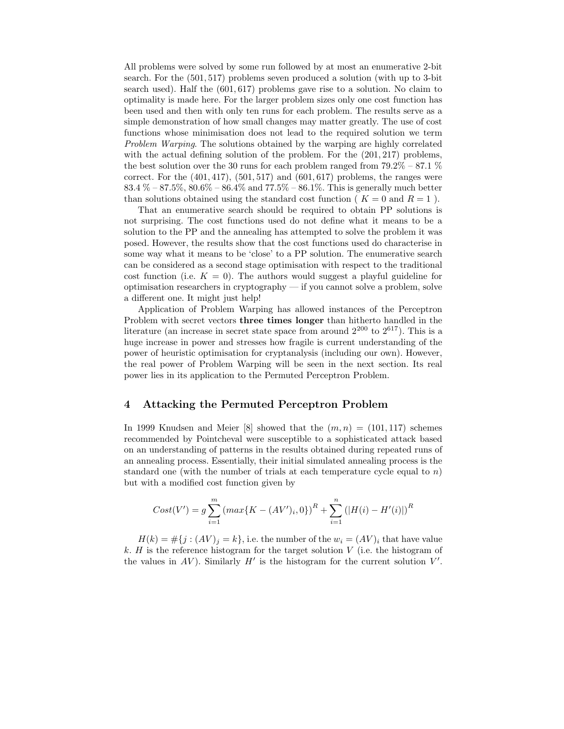All problems were solved by some run followed by at most an enumerative 2-bit search. For the (501, 517) problems seven produced a solution (with up to 3-bit search used). Half the (601, 617) problems gave rise to a solution. No claim to optimality is made here. For the larger problem sizes only one cost function has been used and then with only ten runs for each problem. The results serve as a simple demonstration of how small changes may matter greatly. The use of cost functions whose minimisation does not lead to the required solution we term Problem Warping. The solutions obtained by the warping are highly correlated with the actual defining solution of the problem. For the (201, 217) problems, the best solution over the 30 runs for each problem ranged from  $79.2\%$  –  $87.1\%$ correct. For the  $(401, 417)$ ,  $(501, 517)$  and  $(601, 617)$  problems, the ranges were 83.4 % – 87.5%,  $80.6\%$  –  $86.4\%$  and  $77.5\%$  –  $86.1\%$ . This is generally much better than solutions obtained using the standard cost function ( $K = 0$  and  $R = 1$ ).

That an enumerative search should be required to obtain PP solutions is not surprising. The cost functions used do not define what it means to be a solution to the PP and the annealing has attempted to solve the problem it was posed. However, the results show that the cost functions used do characterise in some way what it means to be 'close' to a PP solution. The enumerative search can be considered as a second stage optimisation with respect to the traditional cost function (i.e.  $K = 0$ ). The authors would suggest a playful guideline for optimisation researchers in cryptography — if you cannot solve a problem, solve a different one. It might just help!

Application of Problem Warping has allowed instances of the Perceptron Problem with secret vectors three times longer than hitherto handled in the literature (an increase in secret state space from around  $2^{200}$  to  $2^{617}$ ). This is a huge increase in power and stresses how fragile is current understanding of the power of heuristic optimisation for cryptanalysis (including our own). However, the real power of Problem Warping will be seen in the next section. Its real power lies in its application to the Permuted Perceptron Problem.

## 4 Attacking the Permuted Perceptron Problem

In 1999 Knudsen and Meier [8] showed that the  $(m, n) = (101, 117)$  schemes recommended by Pointcheval were susceptible to a sophisticated attack based on an understanding of patterns in the results obtained during repeated runs of an annealing process. Essentially, their initial simulated annealing process is the standard one (with the number of trials at each temperature cycle equal to n) but with a modified cost function given by

$$
Cost(V') = g \sum_{i=1}^{m} (max\{K - (AV')_i, 0\})^R + \sum_{i=1}^{n} (|H(i) - H'(i)|)^R
$$

 $H(k) = \#\{j : (AV)_j = k\}$ , i.e. the number of the  $w_i = (AV)_i$  that have value k.  $H$  is the reference histogram for the target solution  $V$  (i.e. the histogram of the values in AV). Similarly  $H'$  is the histogram for the current solution  $V'$ .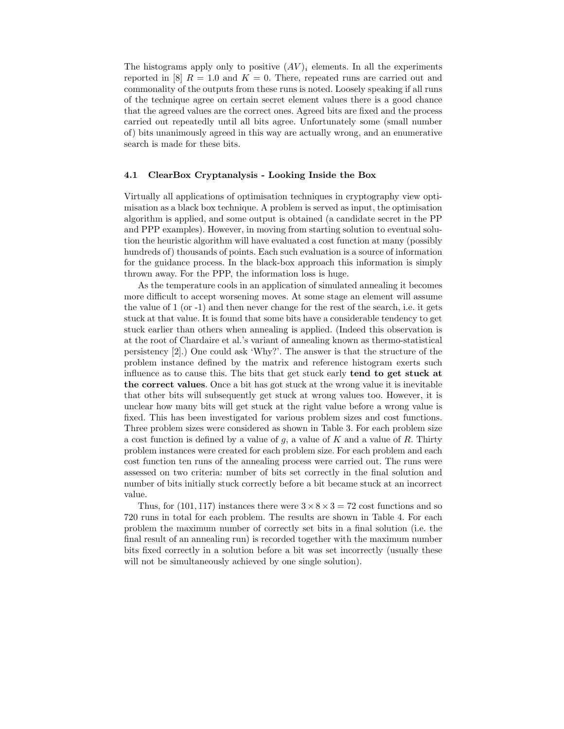The histograms apply only to positive  $(AV)_i$  elements. In all the experiments reported in [8]  $R = 1.0$  and  $K = 0$ . There, repeated runs are carried out and commonality of the outputs from these runs is noted. Loosely speaking if all runs of the technique agree on certain secret element values there is a good chance that the agreed values are the correct ones. Agreed bits are fixed and the process carried out repeatedly until all bits agree. Unfortunately some (small number of) bits unanimously agreed in this way are actually wrong, and an enumerative search is made for these bits.

#### 4.1 ClearBox Cryptanalysis - Looking Inside the Box

Virtually all applications of optimisation techniques in cryptography view optimisation as a black box technique. A problem is served as input, the optimisation algorithm is applied, and some output is obtained (a candidate secret in the PP and PPP examples). However, in moving from starting solution to eventual solution the heuristic algorithm will have evaluated a cost function at many (possibly hundreds of) thousands of points. Each such evaluation is a source of information for the guidance process. In the black-box approach this information is simply thrown away. For the PPP, the information loss is huge.

As the temperature cools in an application of simulated annealing it becomes more difficult to accept worsening moves. At some stage an element will assume the value of 1 (or -1) and then never change for the rest of the search, i.e. it gets stuck at that value. It is found that some bits have a considerable tendency to get stuck earlier than others when annealing is applied. (Indeed this observation is at the root of Chardaire et al.'s variant of annealing known as thermo-statistical persistency [2].) One could ask 'Why?'. The answer is that the structure of the problem instance defined by the matrix and reference histogram exerts such influence as to cause this. The bits that get stuck early tend to get stuck at the correct values. Once a bit has got stuck at the wrong value it is inevitable that other bits will subsequently get stuck at wrong values too. However, it is unclear how many bits will get stuck at the right value before a wrong value is fixed. This has been investigated for various problem sizes and cost functions. Three problem sizes were considered as shown in Table 3. For each problem size a cost function is defined by a value of  $q$ , a value of K and a value of R. Thirty problem instances were created for each problem size. For each problem and each cost function ten runs of the annealing process were carried out. The runs were assessed on two criteria: number of bits set correctly in the final solution and number of bits initially stuck correctly before a bit became stuck at an incorrect value.

Thus, for  $(101, 117)$  instances there were  $3 \times 8 \times 3 = 72$  cost functions and so 720 runs in total for each problem. The results are shown in Table 4. For each problem the maximum number of correctly set bits in a final solution (i.e. the final result of an annealing run) is recorded together with the maximum number bits fixed correctly in a solution before a bit was set incorrectly (usually these will not be simultaneously achieved by one single solution).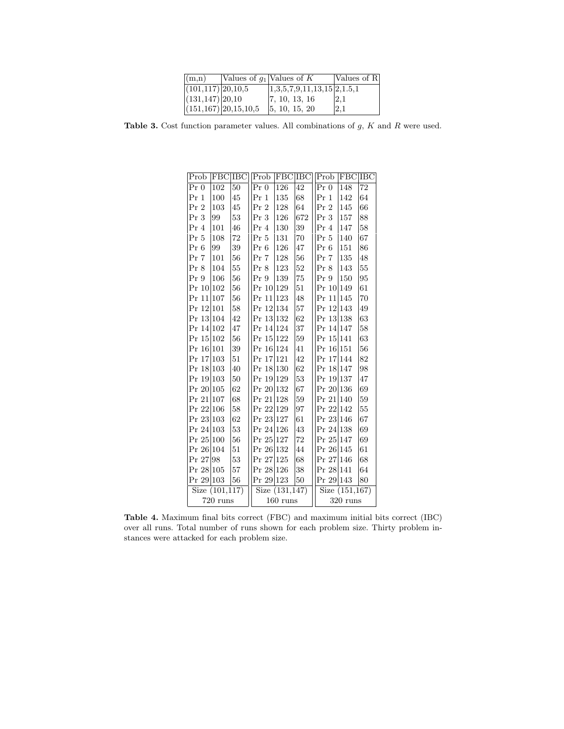| (m,n)                  |                            | Values of $g_1$ Values of K    | Values of R |
|------------------------|----------------------------|--------------------------------|-------------|
| $(101, 117)$ 20, 10, 5 |                            | $1,3,5,7,9,11,13,15$ $2,1.5,1$ |             |
| $(131, 147)$ 20,10     |                            | [7, 10, 13, 16]                | 2,1         |
|                        | $(151, 167)$ 20, 15, 10, 5 | 5, 10, 15, 20                  | 2.1         |

Table 3. Cost function parameter values. All combinations of  $g$ ,  $K$  and  $R$  were used.

| Prob            | <b>FBC</b> IBC    |         | Prob      | <b>FBC</b>    | <b>IBC</b> | Prob              | FBC IBC |    |  |
|-----------------|-------------------|---------|-----------|---------------|------------|-------------------|---------|----|--|
| $Pr_0$          | 102               | 50      | $Pr_0$    | 126           | 42         | $Pr_0$            | 148     | 72 |  |
| $Pr_1$          | 100               | 45      | $Pr_1$    | 135           | 68         | $Pr_1$            | 142     | 64 |  |
| Pr <sub>2</sub> | 103               | 45      | $Pr_2$    | 128           | 64         | $Pr_2$            | 145     | 66 |  |
| $Pr_3$          | 99                | 53      | Pr 3      | 126           | 672        | Pr 3              | 157     | 88 |  |
| Pr 4            | 101               | 46      | $Pr_4$    | 130           | 39         | $Pr_4$            | 147     | 58 |  |
| Pr 5            | 108               | 72      | Pr 5      | 131           | 70         | Pr 5              | 140     | 67 |  |
| Pr 6            | 99                | 39      | Pr 6      | 126           | 47         | Pr 6              | 151     | 86 |  |
| Pr 7            | 101               | 56      | Pr 7      | 128           | 56         | Pr 7              | 135     | 48 |  |
| $Pr_8$          | 104               | 55      | Pr 8      | 123           | 52         | $Pr_8$            | 143     | 55 |  |
| Pr 9            | 106               | 56      | Pr9       | 139           | 75         | Pr <sub>9</sub>   | 150     | 95 |  |
| Pr 10           | 102               | $^{56}$ | Pr 10     | 129           | 51         | Pr 10 149         |         | 61 |  |
| Pr 11           | 107               | 56      | Pr 11     | 123           | 48         | Pr<br>11          | 145     | 70 |  |
| Pr 12 101       |                   | 58      | Pr 12 134 |               | 57         | Pr 12 143         |         | 49 |  |
| Pr 13 104       |                   | 42      | Pr 13 132 |               | 62         | Pr 13 138         |         | 63 |  |
| Pr 14 102       |                   | 47      | Pr 14 124 |               | 37         | Pr 14 147         |         | 58 |  |
| Pr 15 102       |                   | 56      | Pr 15 122 |               | 59         | Pr 15 141         |         | 63 |  |
| Pr 16 101       |                   | 39      | Pr 16 124 |               | 41         | Pr 16 151         |         | 56 |  |
| Pr 17           | 103               | 51      | Pr 17 121 |               | 42         | Pr 17             | 144     | 82 |  |
| Pr 18           | 103               | 40      | Pr 18 130 |               | 62         | Pr 18 147         |         | 98 |  |
| Pr 19 103       |                   | 50      | Pr 19 129 |               | 53         | Pr 19 137         |         | 47 |  |
| Pr 20 105       |                   | 62      | Pr 20 132 |               | 67         | Pr 20 136         |         | 69 |  |
| Pr 21           | 107               | 68      | Pr 21 128 |               | 59         | Pr 21 140         |         | 59 |  |
| Pr 22           | 106               | 58      | Pr 22 129 |               | 97         | Pr 22 142         |         | 55 |  |
| Pr 23 103       |                   | 62      | Pr 23 127 |               | 61         | Pr 23 146         |         | 67 |  |
| Pr 24           | 103               | 53      | Pr 24 126 |               | 43         | Pr 24 138         |         | 69 |  |
| Pr 25           | 100               | 56      | Pr 25 127 |               | 72         | Pr 25             | 147     | 69 |  |
| Pr 26 104       |                   | 51      | Pr 26 132 |               | 44         | Pr 26 145         |         | 61 |  |
| Pr 27           | 98                | 53      | Pr 27 125 |               | 68         | Pr 27 146         |         | 68 |  |
| Pr 28 105       |                   | 57      | Pr 28 126 |               | 38         | Pr 28 141         |         | 64 |  |
| Pr 29 103       |                   | 56      | Pr 29 123 |               | 50         | Pr 29 143         |         | 80 |  |
|                 | Size $(101, 117)$ |         |           | Size(131,147) |            | Size $(151, 167)$ |         |    |  |
|                 | $720$ runs        |         |           | $160$ runs    |            | $320$ runs        |         |    |  |

Table 4. Maximum final bits correct (FBC) and maximum initial bits correct (IBC) over all runs. Total number of runs shown for each problem size. Thirty problem instances were attacked for each problem size.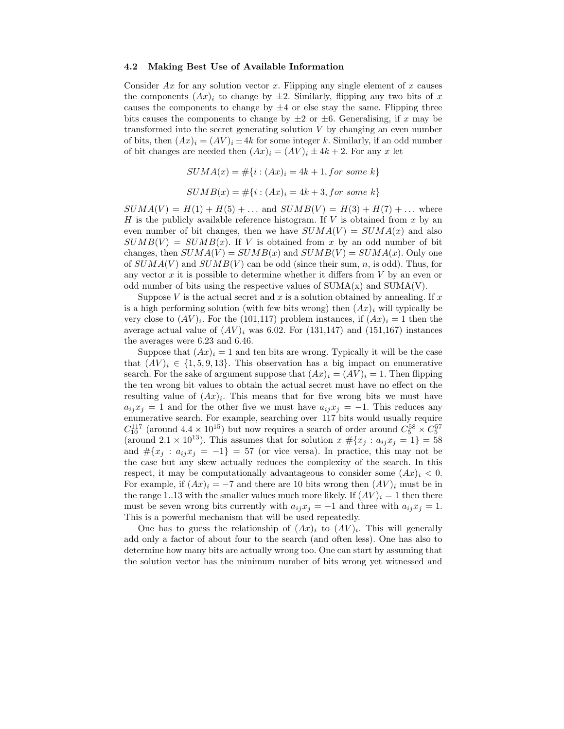#### 4.2 Making Best Use of Available Information

Consider  $Ax$  for any solution vector x. Flipping any single element of x causes the components  $(Ax)_i$  to change by  $\pm 2$ . Similarly, flipping any two bits of x causes the components to change by  $\pm 4$  or else stay the same. Flipping three bits causes the components to change by  $\pm 2$  or  $\pm 6$ . Generalising, if x may be transformed into the secret generating solution  $V$  by changing an even number of bits, then  $(Ax)_i = (AV)_i \pm 4k$  for some integer k. Similarly, if an odd number of bit changes are needed then  $(Ax)_i = (AV)_i \pm 4k + 2$ . For any x let

$$
SUMA(x) = #\{i : (Ax)_i = 4k + 1, for some k\}
$$

$$
SUMB(x) = #{i : (Ax)_i = 4k + 3, for some k}
$$

 $SUMA(V) = H(1) + H(5) + \dots$  and  $SUMB(V) = H(3) + H(7) + \dots$  where H is the publicly available reference histogram. If V is obtained from x by an even number of bit changes, then we have  $SUMA(V) = SUMA(x)$  and also  $SUMB(V) = SUMB(x)$ . If V is obtained from x by an odd number of bit changes, then  $SUMA(V) = SUMB(x)$  and  $SUMB(V) = SUMA(x)$ . Only one of  $SUMA(V)$  and  $SUMB(V)$  can be odd (since their sum, n, is odd). Thus, for any vector  $x$  it is possible to determine whether it differs from  $V$  by an even or odd number of bits using the respective values of  $SUMA(x)$  and  $SUMA(V)$ .

Suppose V is the actual secret and  $x$  is a solution obtained by annealing. If  $x$ is a high performing solution (with few bits wrong) then  $(Ax)_i$  will typically be very close to  $(AV)_i$ . For the (101,117) problem instances, if  $(Ax)_i = 1$  then the average actual value of  $(AV)_i$  was 6.02. For (131,147) and (151,167) instances the averages were 6.23 and 6.46.

Suppose that  $(Ax)_i = 1$  and ten bits are wrong. Typically it will be the case that  $(AV)_i \in \{1, 5, 9, 13\}$ . This observation has a big impact on enumerative search. For the sake of argument suppose that  $(Ax)_i = (AV)_i = 1$ . Then flipping the ten wrong bit values to obtain the actual secret must have no effect on the resulting value of  $(Ax)_i$ . This means that for five wrong bits we must have  $a_{ij}x_j = 1$  and for the other five we must have  $a_{ij}x_j = -1$ . This reduces any enumerative search. For example, searching over 117 bits would usually require  $C_{10}^{117}$  (around  $4.4 \times 10^{15}$ ) but now requires a search of order around  $C_5^{58} \times C_5^{57}$ (around  $2.1 \times 10^{13}$ ). This assumes that for solution  $x \# \{x_j : a_{ij}x_j = 1\} = 58$ and  $\#\{x_j : a_{ij}x_j = -1\} = 57$  (or vice versa). In practice, this may not be the case but any skew actually reduces the complexity of the search. In this respect, it may be computationally advantageous to consider some  $(Ax)_i < 0$ . For example, if  $(Ax)_i = -7$  and there are 10 bits wrong then  $(AV)_i$  must be in the range 1..13 with the smaller values much more likely. If  $(AV)_i = 1$  then there must be seven wrong bits currently with  $a_{ij}x_j = -1$  and three with  $a_{ij}x_j = 1$ . This is a powerful mechanism that will be used repeatedly.

One has to guess the relationship of  $(Ax)_i$  to  $(AV)_i$ . This will generally add only a factor of about four to the search (and often less). One has also to determine how many bits are actually wrong too. One can start by assuming that the solution vector has the minimum number of bits wrong yet witnessed and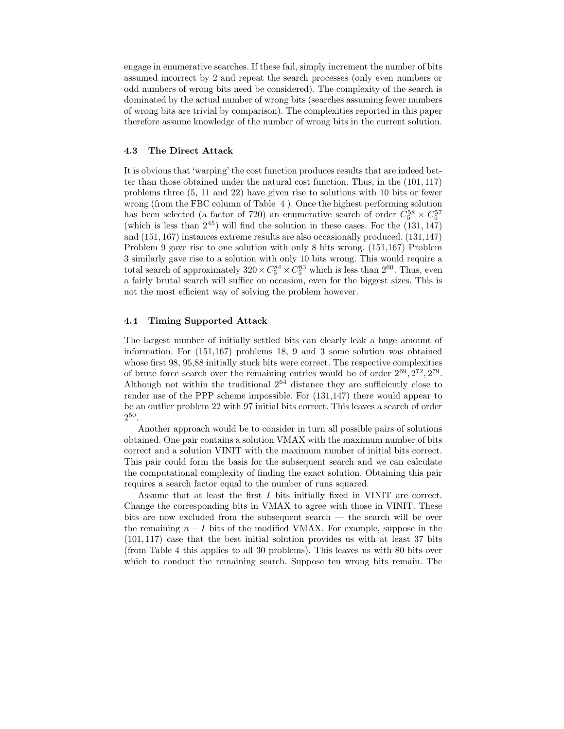engage in enumerative searches. If these fail, simply increment the number of bits assumed incorrect by 2 and repeat the search processes (only even numbers or odd numbers of wrong bits need be considered). The complexity of the search is dominated by the actual number of wrong bits (searches assuming fewer numbers of wrong bits are trivial by comparison). The complexities reported in this paper therefore assume knowledge of the number of wrong bits in the current solution.

#### 4.3 The Direct Attack

It is obvious that 'warping' the cost function produces results that are indeed better than those obtained under the natural cost function. Thus, in the (101, 117) problems three (5, 11 and 22) have given rise to solutions with 10 bits or fewer wrong (from the FBC column of Table 4 ). Once the highest performing solution has been selected (a factor of 720) an enumerative search of order  $C_5^{58} \times C_5^{57}$ (which is less than  $2^{45}$ ) will find the solution in these cases. For the  $(131, 147)$ and (151, 167) instances extreme results are also occasionally produced. (131,147) Problem 9 gave rise to one solution with only 8 bits wrong. (151,167) Problem 3 similarly gave rise to a solution with only 10 bits wrong. This would require a total search of approximately  $320 \times C_5^{84} \times C_5^{83}$  which is less than  $2^{60}$ . Thus, even a fairly brutal search will suffice on occasion, even for the biggest sizes. This is not the most efficient way of solving the problem however.

#### 4.4 Timing Supported Attack

The largest number of initially settled bits can clearly leak a huge amount of information. For (151,167) problems 18, 9 and 3 some solution was obtained whose first 98, 95,88 initially stuck bits were correct. The respective complexities of brute force search over the remaining entries would be of order  $2^{69}$ ,  $2^{72}$ ,  $2^{79}$ . Although not within the traditional  $2^{64}$  distance they are sufficiently close to render use of the PPP scheme impossible. For (131,147) there would appear to be an outlier problem 22 with 97 initial bits correct. This leaves a search of order 2 50 .

Another approach would be to consider in turn all possible pairs of solutions obtained. One pair contains a solution VMAX with the maximum number of bits correct and a solution VINIT with the maximum number of initial bits correct. This pair could form the basis for the subsequent search and we can calculate the computational complexity of finding the exact solution. Obtaining this pair requires a search factor equal to the number of runs squared.

Assume that at least the first I bits initially fixed in VINIT are correct. Change the corresponding bits in VMAX to agree with those in VINIT. These bits are now excluded from the subsequent search — the search will be over the remaining  $n - I$  bits of the modified VMAX. For example, suppose in the (101, 117) case that the best initial solution provides us with at least 37 bits (from Table 4 this applies to all 30 problems). This leaves us with 80 bits over which to conduct the remaining search. Suppose ten wrong bits remain. The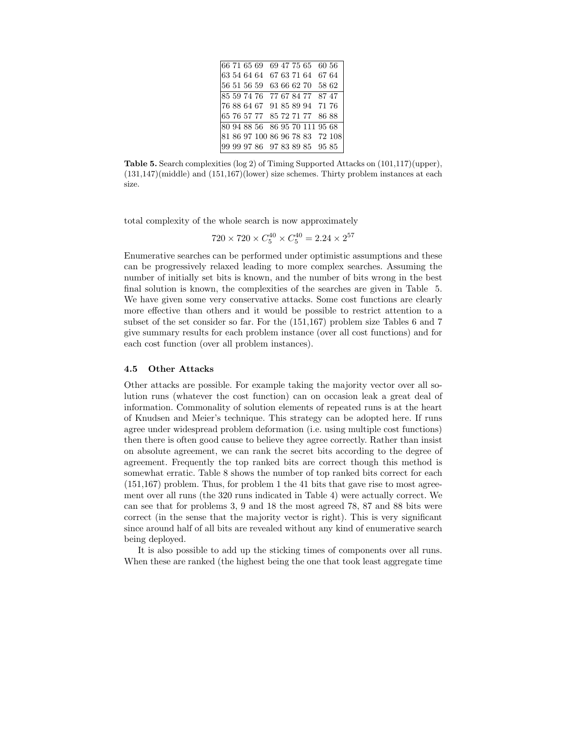| 66 71 65 69                     |  |  | 69 47 75 65       | 60 56 |  |
|---------------------------------|--|--|-------------------|-------|--|
| 63 54 64 64 67 63 71 64 67 64   |  |  |                   |       |  |
| 56 51 56 59                     |  |  | 63 66 62 70 58 62 |       |  |
| 85 59 74 76 77 67 84 77 87 47   |  |  |                   |       |  |
| 76 88 64 67 91 85 89 94 71 76   |  |  |                   |       |  |
| 65 76 57 77 85 72 71 77 86 88   |  |  |                   |       |  |
| 80 94 88 56 86 95 70 111 95 68  |  |  |                   |       |  |
| 81 86 97 100 86 96 78 83 72 108 |  |  |                   |       |  |
| 99 99 97 86 97 83 89 85 95 85   |  |  |                   |       |  |

Table 5. Search complexities (log 2) of Timing Supported Attacks on (101,117)(upper), (131,147)(middle) and (151,167)(lower) size schemes. Thirty problem instances at each size.

total complexity of the whole search is now approximately

$$
720 \times 720 \times C_5^{40} \times C_5^{40} = 2.24 \times 2^{57}
$$

Enumerative searches can be performed under optimistic assumptions and these can be progressively relaxed leading to more complex searches. Assuming the number of initially set bits is known, and the number of bits wrong in the best final solution is known, the complexities of the searches are given in Table 5. We have given some very conservative attacks. Some cost functions are clearly more effective than others and it would be possible to restrict attention to a subset of the set consider so far. For the (151,167) problem size Tables 6 and 7 give summary results for each problem instance (over all cost functions) and for each cost function (over all problem instances).

#### 4.5 Other Attacks

Other attacks are possible. For example taking the majority vector over all solution runs (whatever the cost function) can on occasion leak a great deal of information. Commonality of solution elements of repeated runs is at the heart of Knudsen and Meier's technique. This strategy can be adopted here. If runs agree under widespread problem deformation (i.e. using multiple cost functions) then there is often good cause to believe they agree correctly. Rather than insist on absolute agreement, we can rank the secret bits according to the degree of agreement. Frequently the top ranked bits are correct though this method is somewhat erratic. Table 8 shows the number of top ranked bits correct for each (151,167) problem. Thus, for problem 1 the 41 bits that gave rise to most agreement over all runs (the 320 runs indicated in Table 4) were actually correct. We can see that for problems 3, 9 and 18 the most agreed 78, 87 and 88 bits were correct (in the sense that the majority vector is right). This is very significant since around half of all bits are revealed without any kind of enumerative search being deployed.

It is also possible to add up the sticking times of components over all runs. When these are ranked (the highest being the one that took least aggregate time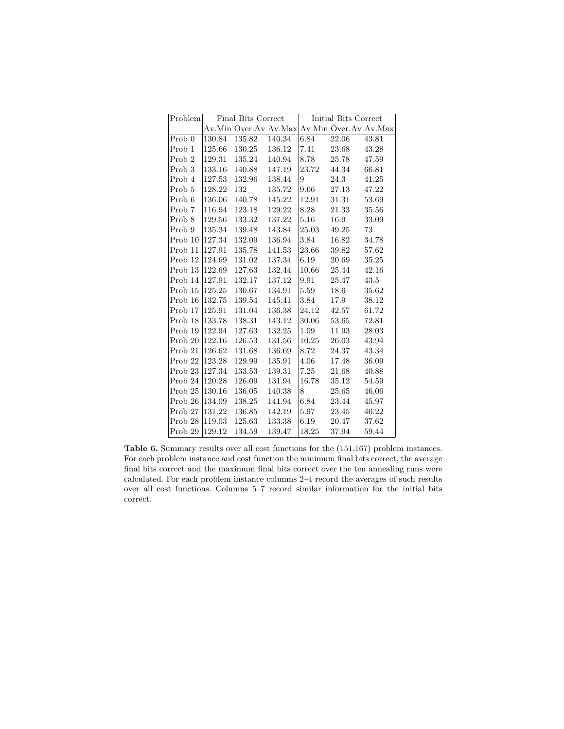| Problem            |        | Final Bits Correct                          |        |       | Initial Bits Correct |           |
|--------------------|--------|---------------------------------------------|--------|-------|----------------------|-----------|
|                    |        | Av.Min Over.Av Av.Max Av.Min Over.Av Av.Max |        |       |                      |           |
| Prob 0             | 130.84 | 135.82                                      | 140.34 | 6.84  | 22.06                | 43.81     |
| Prob 1             | 125.66 | 130.25                                      | 136.12 | 7.41  | 23.68                | 43.28     |
| Prob <sub>2</sub>  | 129.31 | 135.24                                      | 140.94 | 8.78  | 25.78                | 47.59     |
| Prob <sub>3</sub>  | 133.16 | 140.88                                      | 147.19 | 23.72 | 44.34                | 66.81     |
| Prob 4             | 127.53 | 132.96                                      | 138.44 | 9     | 24.3                 | 41.25     |
| Prob 5             | 128.22 | 132                                         | 135.72 | 9.66  | 27.13                | 47.22     |
| Prob 6             | 136.06 | 140.78                                      | 145.22 | 12.91 | 31.31                | 53.69     |
| Prob 7             | 116.94 | 123.18                                      | 129.22 | 8.28  | 21.33                | 35.56     |
| Prob 8             | 129.56 | 133.32                                      | 137.22 | 5.16  | 16.9                 | 33.09     |
| Prob 9             | 135.34 | 139.48                                      | 143.84 | 25.03 | 49.25                | 73        |
| Prob 10            | 127.34 | 132.09                                      | 136.94 | 3.84  | 16.82                | 34.78     |
| Prob 11            | 127.91 | 135.78                                      | 141.53 | 23.66 | 39.82                | 57.62     |
| Prob 12            | 124.69 | 131.02                                      | 137.34 | 6.19  | 20.69                | $35.25\,$ |
| Prob 13            | 122.69 | 127.63                                      | 132.44 | 10.66 | 25.44                | 42.16     |
| Prob 14            | 127.91 | 132.17                                      | 137.12 | 9.91  | 25.47                | 43.5      |
| Prob 15            | 125.25 | 130.67                                      | 134.91 | 5.59  | 18.6                 | 35.62     |
| Prob 16            | 132.75 | 139.54                                      | 145.41 | 3.84  | 17.9                 | 38.12     |
| Prob 17            | 125.91 | 131.04                                      | 136.38 | 24.12 | 42.57                | 61.72     |
| Prob 18            | 133.78 | 138.31                                      | 143.12 | 30.06 | 53.65                | 72.81     |
| Prob 19            | 122.94 | 127.63                                      | 132.25 | 1.09  | 11.93                | 28.03     |
| Prob 20            | 122.16 | 126.53                                      | 131.56 | 10.25 | 26.03                | 43.94     |
| Prob 21            | 126.62 | 131.68                                      | 136.69 | 8.72  | 24.37                | 43.34     |
| Prob <sub>22</sub> | 123.28 | 129.99                                      | 135.91 | 4.06  | 17.48                | 36.09     |
| Prob <sub>23</sub> | 127.34 | 133.53                                      | 139.31 | 7.25  | 21.68                | 40.88     |
| Prob 24            | 120.28 | 126.09                                      | 131.94 | 16.78 | 35.12                | 54.59     |
| Prob <sub>25</sub> | 130.16 | 136.05                                      | 140.38 | 8     | 25.65                | 46.06     |
| Prob 26            | 134.09 | 138.25                                      | 141.94 | 6.84  | 23.44                | 45.97     |
| Prob 27            | 131.22 | 136.85                                      | 142.19 | 5.97  | 23.45                | $46.22\,$ |
| Prob 28            | 119.03 | 125.63                                      | 133.38 | 6.19  | 20.47                | 37.62     |
| Prob <sub>29</sub> | 129.12 | 134.59                                      | 139.47 | 18.25 | 37.94                | 59.44     |

Table 6. Summary results over all cost functions for the (151,167) problem instances. For each problem instance and cost function the minimum final bits correct, the average final bits correct and the maximum final bits correct over the ten annealing runs were calculated. For each problem instance columns 2–4 record the averages of such results over all cost functions. Columns 5–7 record similar information for the initial bits correct.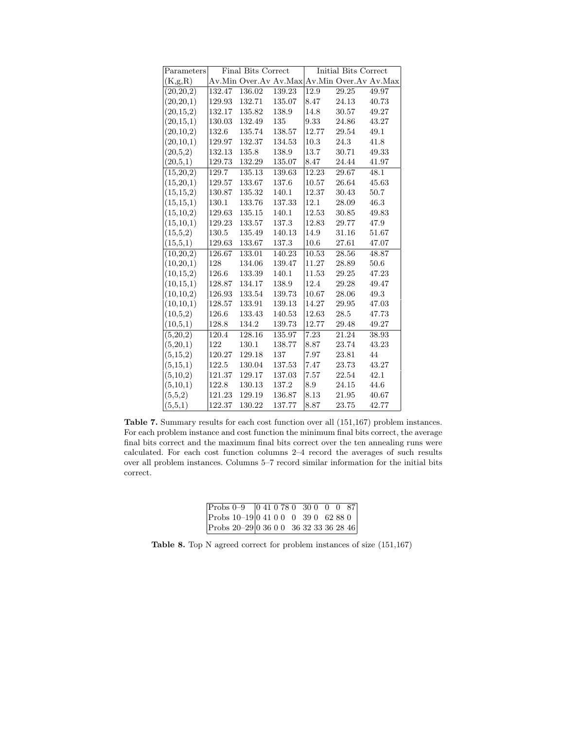| Parameters  |        | <b>Final Bits Correct</b> |            |       | Initial Bits Correct                        |       |
|-------------|--------|---------------------------|------------|-------|---------------------------------------------|-------|
| (K,g,R)     |        |                           |            |       | Av.Min Over.Av Av.Max Av.Min Over.Av Av.Max |       |
| (20, 20, 2) | 132.47 | 136.02                    | 139.23     | 12.9  | 29.25                                       | 49.97 |
| (20, 20, 1) | 129.93 | 132.71                    | 135.07     | 8.47  | 24.13                                       | 40.73 |
| (20, 15, 2) | 132.17 | 135.82                    | 138.9      | 14.8  | 30.57                                       | 49.27 |
| (20, 15, 1) | 130.03 | 132.49                    | 135        | 9.33  | 24.86                                       | 43.27 |
| (20,10,2)   | 132.6  | 135.74                    | 138.57     | 12.77 | 29.54                                       | 49.1  |
| (20,10,1)   | 129.97 | 132.37                    | 134.53     | 10.3  | 24.3                                        | 41.8  |
| (20,5,2)    | 132.13 | 135.8                     | 138.9      | 13.7  | 30.71                                       | 49.33 |
| (20,5,1)    | 129.73 | 132.29                    | $135.07\,$ | 8.47  | 24.44                                       | 41.97 |
| (15,20,2)   | 129.7  | 135.13                    | 139.63     | 12.23 | 29.67                                       | 48.1  |
| (15,20,1)   | 129.57 | 133.67                    | 137.6      | 10.57 | 26.64                                       | 45.63 |
| (15, 15, 2) | 130.87 | 135.32                    | 140.1      | 12.37 | 30.43                                       | 50.7  |
| (15, 15, 1) | 130.1  | 133.76                    | 137.33     | 12.1  | 28.09                                       | 46.3  |
| (15,10,2)   | 129.63 | 135.15                    | 140.1      | 12.53 | 30.85                                       | 49.83 |
| (15, 10, 1) | 129.23 | 133.57                    | 137.3      | 12.83 | 29.77                                       | 47.9  |
| (15,5,2)    | 130.5  | 135.49                    | 140.13     | 14.9  | 31.16                                       | 51.67 |
| (15,5,1)    | 129.63 | 133.67                    | 137.3      | 10.6  | 27.61                                       | 47.07 |
| (10,20,2)   | 126.67 | 133.01                    | 140.23     | 10.53 | 28.56                                       | 48.87 |
| (10, 20, 1) | 128    | 134.06                    | 139.47     | 11.27 | 28.89                                       | 50.6  |
| (10, 15, 2) | 126.6  | 133.39                    | 140.1      | 11.53 | 29.25                                       | 47.23 |
| (10, 15, 1) | 128.87 | 134.17                    | 138.9      | 12.4  | 29.28                                       | 49.47 |
| (10,10,2)   | 126.93 | 133.54                    | 139.73     | 10.67 | 28.06                                       | 49.3  |
| (10,10,1)   | 128.57 | 133.91                    | 139.13     | 14.27 | 29.95                                       | 47.03 |
| (10,5,2)    | 126.6  | 133.43                    | 140.53     | 12.63 | 28.5                                        | 47.73 |
| (10,5,1)    | 128.8  | 134.2                     | 139.73     | 12.77 | 29.48                                       | 49.27 |
| (5,20,2)    | 120.4  | 128.16                    | 135.97     | 7.23  | 21.24                                       | 38.93 |
| (5,20,1)    | 122    | 130.1                     | 138.77     | 8.87  | 23.74                                       | 43.23 |
| (5, 15, 2)  | 120.27 | 129.18                    | 137        | 7.97  | 23.81                                       | 44    |
| (5,15,1)    | 122.5  | 130.04                    | 137.53     | 7.47  | 23.73                                       | 43.27 |
| (5,10,2)    | 121.37 | 129.17                    | 137.03     | 7.57  | 22.54                                       | 42.1  |
| (5,10,1)    | 122.8  | 130.13                    | 137.2      | 8.9   | 24.15                                       | 44.6  |
| (5,5,2)     | 121.23 | 129.19                    | 136.87     | 8.13  | 21.95                                       | 40.67 |
| (5,5,1)     | 122.37 | 130.22                    | 137.77     | 8.87  | 23.75                                       | 42.77 |

Table 7. Summary results for each cost function over all (151,167) problem instances. For each problem instance and cost function the minimum final bits correct, the average final bits correct and the maximum final bits correct over the ten annealing runs were calculated. For each cost function columns 2–4 record the averages of such results over all problem instances. Columns 5–7 record similar information for the initial bits correct.

| Probs 0-9 0 41 0 78 0 30 0 0 0 87     |  |  |  |  |
|---------------------------------------|--|--|--|--|
| Probs $10-19$ 0 41 0 0 0 39 0 62 88 0 |  |  |  |  |
| Probs $20-29 03600363233362846$       |  |  |  |  |

Table 8. Top N agreed correct for problem instances of size (151,167)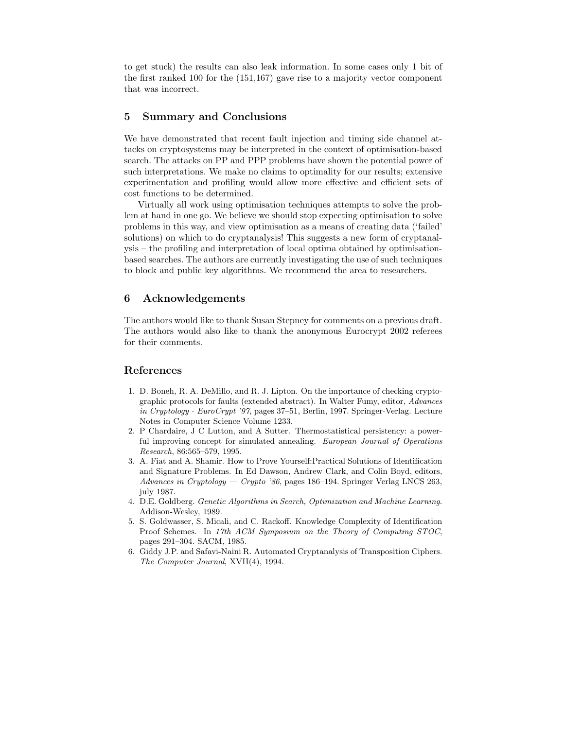to get stuck) the results can also leak information. In some cases only 1 bit of the first ranked 100 for the (151,167) gave rise to a majority vector component that was incorrect.

# 5 Summary and Conclusions

We have demonstrated that recent fault injection and timing side channel attacks on cryptosystems may be interpreted in the context of optimisation-based search. The attacks on PP and PPP problems have shown the potential power of such interpretations. We make no claims to optimality for our results; extensive experimentation and profiling would allow more effective and efficient sets of cost functions to be determined.

Virtually all work using optimisation techniques attempts to solve the problem at hand in one go. We believe we should stop expecting optimisation to solve problems in this way, and view optimisation as a means of creating data ('failed' solutions) on which to do cryptanalysis! This suggests a new form of cryptanalysis – the profiling and interpretation of local optima obtained by optimisationbased searches. The authors are currently investigating the use of such techniques to block and public key algorithms. We recommend the area to researchers.

## 6 Acknowledgements

The authors would like to thank Susan Stepney for comments on a previous draft. The authors would also like to thank the anonymous Eurocrypt 2002 referees for their comments.

## References

- 1. D. Boneh, R. A. DeMillo, and R. J. Lipton. On the importance of checking cryptographic protocols for faults (extended abstract). In Walter Fumy, editor, Advances in Cryptology - EuroCrypt '97, pages 37–51, Berlin, 1997. Springer-Verlag. Lecture Notes in Computer Science Volume 1233.
- 2. P Chardaire, J C Lutton, and A Sutter. Thermostatistical persistency: a powerful improving concept for simulated annealing. European Journal of Operations Research, 86:565–579, 1995.
- 3. A. Fiat and A. Shamir. How to Prove Yourself:Practical Solutions of Identification and Signature Problems. In Ed Dawson, Andrew Clark, and Colin Boyd, editors, Advances in Cryptology — Crypto '86, pages 186–194. Springer Verlag LNCS 263, july 1987.
- 4. D.E. Goldberg. Genetic Algorithms in Search, Optimization and Machine Learning. Addison-Wesley, 1989.
- 5. S. Goldwasser, S. Micali, and C. Rackoff. Knowledge Complexity of Identification Proof Schemes. In 17th ACM Symposium on the Theory of Computing STOC, pages 291–304. SACM, 1985.
- 6. Giddy J.P. and Safavi-Naini R. Automated Cryptanalysis of Transposition Ciphers. The Computer Journal, XVII(4), 1994.